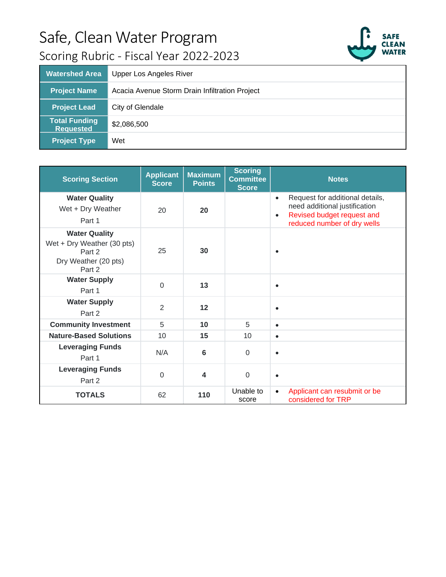

| <b>Watershed Area</b>                    | Upper Los Angeles River                        |
|------------------------------------------|------------------------------------------------|
| <b>Project Name</b>                      | Acacia Avenue Storm Drain Infiltration Project |
| <b>Project Lead</b>                      | City of Glendale                               |
| <b>Total Funding</b><br><b>Requested</b> | \$2,086,500                                    |
| <b>Project Type</b>                      | Wet                                            |

| <b>Scoring Section</b>                                                                         | <b>Applicant</b><br><b>Score</b> | <b>Maximum</b><br><b>Points</b> | <b>Scoring</b><br><b>Committee</b><br><b>Score</b> | <b>Notes</b>                                                                                                                                            |
|------------------------------------------------------------------------------------------------|----------------------------------|---------------------------------|----------------------------------------------------|---------------------------------------------------------------------------------------------------------------------------------------------------------|
| <b>Water Quality</b><br>Wet + Dry Weather<br>Part 1                                            | 20                               | 20                              |                                                    | Request for additional details,<br>$\bullet$<br>need additional justification<br>Revised budget request and<br>$\bullet$<br>reduced number of dry wells |
| <b>Water Quality</b><br>Wet + Dry Weather (30 pts)<br>Part 2<br>Dry Weather (20 pts)<br>Part 2 | 25                               | 30                              |                                                    |                                                                                                                                                         |
| <b>Water Supply</b><br>Part 1                                                                  | $\Omega$                         | 13                              |                                                    | $\bullet$                                                                                                                                               |
| <b>Water Supply</b><br>Part 2                                                                  | $\overline{2}$                   | 12                              |                                                    |                                                                                                                                                         |
| <b>Community Investment</b>                                                                    | 5                                | 10                              | 5                                                  | $\bullet$                                                                                                                                               |
| <b>Nature-Based Solutions</b>                                                                  | 10                               | 15                              | 10                                                 | $\bullet$                                                                                                                                               |
| <b>Leveraging Funds</b><br>Part 1                                                              | N/A                              | 6                               | $\overline{0}$                                     | $\bullet$                                                                                                                                               |
| <b>Leveraging Funds</b><br>Part 2                                                              | $\Omega$                         | $\overline{\mathbf{A}}$         | $\mathbf 0$                                        | $\bullet$                                                                                                                                               |
| <b>TOTALS</b>                                                                                  | 62                               | 110                             | Unable to<br>score                                 | Applicant can resubmit or be<br>$\bullet$<br>considered for TRP                                                                                         |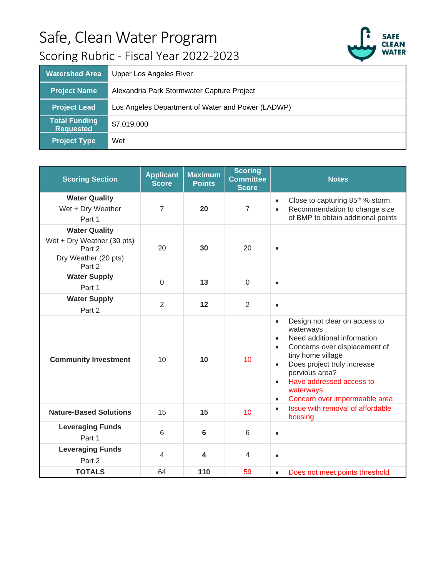

| <b>Watershed Area</b>                    | <b>Upper Los Angeles River</b>                    |
|------------------------------------------|---------------------------------------------------|
| <b>Project Name</b>                      | Alexandria Park Stormwater Capture Project        |
| <b>Project Lead</b>                      | Los Angeles Department of Water and Power (LADWP) |
| <b>Total Funding</b><br><b>Requested</b> | \$7,019,000                                       |
| <b>Project Type</b>                      | Wet                                               |

| <b>Scoring Section</b>                                                                         | <b>Applicant</b><br><b>Score</b> | <b>Maximum</b><br><b>Points</b> | <b>Scoring</b><br><b>Committee</b><br><b>Score</b> | <b>Notes</b>                                                                                                                                                                                                                                                                                                                             |
|------------------------------------------------------------------------------------------------|----------------------------------|---------------------------------|----------------------------------------------------|------------------------------------------------------------------------------------------------------------------------------------------------------------------------------------------------------------------------------------------------------------------------------------------------------------------------------------------|
| <b>Water Quality</b><br>Wet + Dry Weather<br>Part 1                                            | $\overline{7}$                   | 20                              | $\overline{7}$                                     | Close to capturing 85 <sup>th</sup> % storm.<br>$\bullet$<br>Recommendation to change size<br>$\bullet$<br>of BMP to obtain additional points                                                                                                                                                                                            |
| <b>Water Quality</b><br>Wet + Dry Weather (30 pts)<br>Part 2<br>Dry Weather (20 pts)<br>Part 2 | 20                               | 30                              | 20                                                 | $\bullet$                                                                                                                                                                                                                                                                                                                                |
| <b>Water Supply</b><br>Part 1                                                                  | $\overline{0}$                   | 13                              | $\overline{0}$                                     | $\bullet$                                                                                                                                                                                                                                                                                                                                |
| <b>Water Supply</b><br>Part 2                                                                  | $\overline{2}$                   | 12                              | $\overline{2}$                                     | $\bullet$                                                                                                                                                                                                                                                                                                                                |
| <b>Community Investment</b>                                                                    | 10                               | 10                              | 10                                                 | Design not clear on access to<br>$\bullet$<br>waterways<br>Need additional information<br>$\bullet$<br>Concerns over displacement of<br>$\bullet$<br>tiny home village<br>Does project truly increase<br>$\bullet$<br>pervious area?<br>Have addressed access to<br>$\bullet$<br>waterways<br>Concern over impermeable area<br>$\bullet$ |
| <b>Nature-Based Solutions</b>                                                                  | 15                               | 15                              | 10                                                 | Issue with removal of affordable<br>$\bullet$<br>housing                                                                                                                                                                                                                                                                                 |
| <b>Leveraging Funds</b><br>Part 1                                                              | 6                                | $6\phantom{1}$                  | 6                                                  | $\bullet$                                                                                                                                                                                                                                                                                                                                |
| <b>Leveraging Funds</b><br>Part 2                                                              | $\overline{4}$                   | $\overline{\mathbf{4}}$         | $\overline{4}$                                     | $\bullet$                                                                                                                                                                                                                                                                                                                                |
| <b>TOTALS</b>                                                                                  | 64                               | 110                             | 59                                                 | Does not meet points threshold<br>$\bullet$                                                                                                                                                                                                                                                                                              |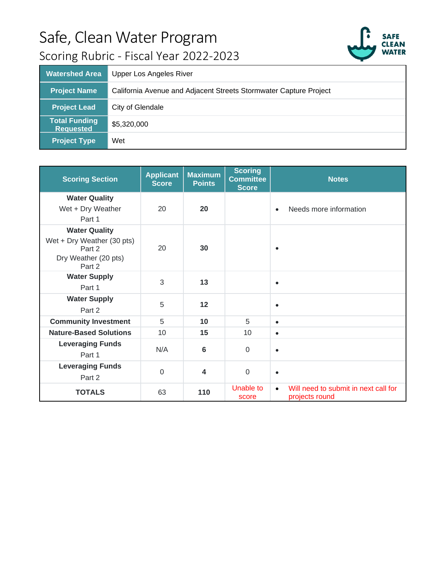

| <b>Watershed Area</b>                    | Upper Los Angeles River                                           |
|------------------------------------------|-------------------------------------------------------------------|
| <b>Project Name</b>                      | California Avenue and Adjacent Streets Stormwater Capture Project |
| <b>Project Lead</b>                      | City of Glendale                                                  |
| <b>Total Funding</b><br><b>Requested</b> | \$5,320,000                                                       |
| <b>Project Type</b>                      | Wet                                                               |

| <b>Scoring Section</b>                                                                         | <b>Applicant</b><br><b>Score</b> | <b>Maximum</b><br><b>Points</b> | <b>Scoring</b><br><b>Committee</b><br><b>Score</b> | <b>Notes</b>                                                        |
|------------------------------------------------------------------------------------------------|----------------------------------|---------------------------------|----------------------------------------------------|---------------------------------------------------------------------|
| <b>Water Quality</b><br>Wet + Dry Weather<br>Part 1                                            | 20                               | 20                              |                                                    | Needs more information<br>$\bullet$                                 |
| <b>Water Quality</b><br>Wet + Dry Weather (30 pts)<br>Part 2<br>Dry Weather (20 pts)<br>Part 2 | 20                               | 30                              |                                                    | $\bullet$                                                           |
| <b>Water Supply</b><br>Part 1                                                                  | 3                                | 13                              |                                                    | $\bullet$                                                           |
| <b>Water Supply</b><br>Part 2                                                                  | 5                                | 12                              |                                                    | $\bullet$                                                           |
| <b>Community Investment</b>                                                                    | 5                                | 10                              | 5                                                  | $\bullet$                                                           |
| <b>Nature-Based Solutions</b>                                                                  | 10                               | 15                              | 10                                                 | $\bullet$                                                           |
| <b>Leveraging Funds</b><br>Part 1                                                              | N/A                              | 6                               | $\mathbf 0$                                        | $\bullet$                                                           |
| <b>Leveraging Funds</b><br>Part 2                                                              | $\Omega$                         | 4                               | $\mathbf 0$                                        | $\bullet$                                                           |
| <b>TOTALS</b>                                                                                  | 63                               | 110                             | Unable to<br>score                                 | Will need to submit in next call for<br>$\bullet$<br>projects round |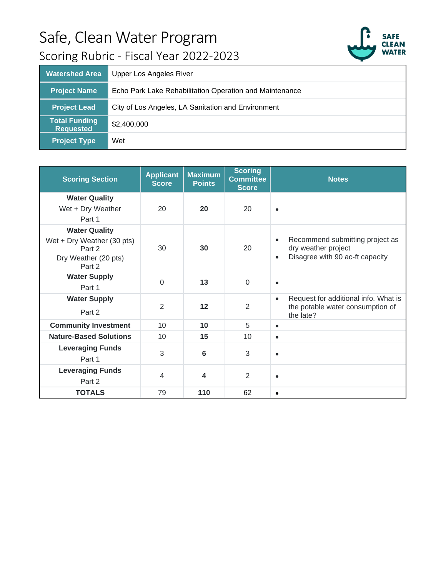

| <b>Watershed Area</b>                    | Upper Los Angeles River                                 |
|------------------------------------------|---------------------------------------------------------|
| <b>Project Name</b>                      | Echo Park Lake Rehabilitation Operation and Maintenance |
| <b>Project Lead</b>                      | City of Los Angeles, LA Sanitation and Environment      |
| <b>Total Funding</b><br><b>Requested</b> | \$2,400,000                                             |
| <b>Project Type</b>                      | Wet                                                     |

| <b>Scoring Section</b>                                                                         | <b>Applicant</b><br><b>Score</b> | <b>Maximum</b><br><b>Points</b> | <b>Scoring</b><br><b>Committee</b><br><b>Score</b> | <b>Notes</b>                                                                                                        |
|------------------------------------------------------------------------------------------------|----------------------------------|---------------------------------|----------------------------------------------------|---------------------------------------------------------------------------------------------------------------------|
| <b>Water Quality</b><br>Wet + Dry Weather<br>Part 1                                            | 20                               | 20                              | 20                                                 | $\bullet$                                                                                                           |
| <b>Water Quality</b><br>Wet + Dry Weather (30 pts)<br>Part 2<br>Dry Weather (20 pts)<br>Part 2 | 30                               | 30                              | 20                                                 | Recommend submitting project as<br>$\bullet$<br>dry weather project<br>Disagree with 90 ac-ft capacity<br>$\bullet$ |
| <b>Water Supply</b><br>Part 1                                                                  | $\Omega$                         | 13                              | $\Omega$                                           | $\bullet$                                                                                                           |
| <b>Water Supply</b><br>Part 2                                                                  | $\overline{2}$                   | 12                              | $\overline{2}$                                     | Request for additional info. What is<br>$\bullet$<br>the potable water consumption of<br>the late?                  |
| <b>Community Investment</b>                                                                    | 10                               | 10                              | 5                                                  | $\bullet$                                                                                                           |
| <b>Nature-Based Solutions</b>                                                                  | 10                               | 15                              | 10                                                 | $\bullet$                                                                                                           |
| <b>Leveraging Funds</b><br>Part 1                                                              | 3                                | 6                               | 3                                                  | $\bullet$                                                                                                           |
| <b>Leveraging Funds</b><br>Part 2                                                              | $\overline{4}$                   | 4                               | $\overline{2}$                                     | $\bullet$                                                                                                           |
| <b>TOTALS</b>                                                                                  | 79                               | 110                             | 62                                                 | $\bullet$                                                                                                           |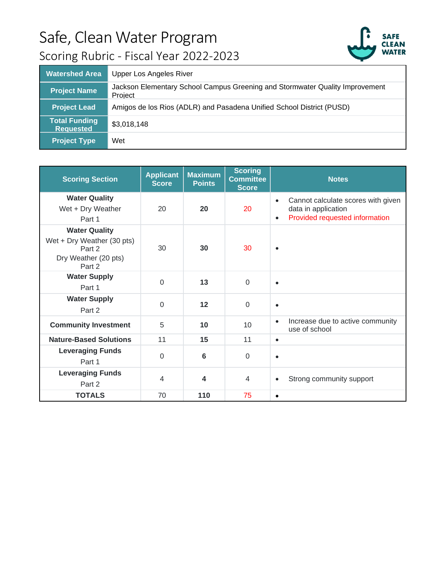

| <b>Watershed Area</b>                    | <b>Upper Los Angeles River</b>                                                          |
|------------------------------------------|-----------------------------------------------------------------------------------------|
| <b>Project Name</b>                      | Jackson Elementary School Campus Greening and Stormwater Quality Improvement<br>Project |
| <b>Project Lead</b>                      | Amigos de los Rios (ADLR) and Pasadena Unified School District (PUSD)                   |
| <b>Total Funding</b><br><b>Requested</b> | \$3,018,148                                                                             |
| <b>Project Type</b>                      | Wet                                                                                     |

| <b>Scoring Section</b>                                                                         | <b>Applicant</b><br><b>Score</b> | <b>Maximum</b><br><b>Points</b> | <b>Scoring</b><br><b>Committee</b><br><b>Score</b> | <b>Notes</b>                                                                                                          |
|------------------------------------------------------------------------------------------------|----------------------------------|---------------------------------|----------------------------------------------------|-----------------------------------------------------------------------------------------------------------------------|
| <b>Water Quality</b><br>Wet + Dry Weather<br>Part 1                                            | 20                               | 20                              | 20                                                 | Cannot calculate scores with given<br>$\bullet$<br>data in application<br>Provided requested information<br>$\bullet$ |
| <b>Water Quality</b><br>Wet + Dry Weather (30 pts)<br>Part 2<br>Dry Weather (20 pts)<br>Part 2 | 30                               | 30                              | 30                                                 | $\bullet$                                                                                                             |
| <b>Water Supply</b><br>Part 1                                                                  | $\Omega$                         | 13                              | $\mathbf 0$                                        | $\bullet$                                                                                                             |
| <b>Water Supply</b><br>Part 2                                                                  | $\mathbf 0$                      | 12                              | $\mathbf 0$                                        | $\bullet$                                                                                                             |
| <b>Community Investment</b>                                                                    | 5                                | 10                              | 10                                                 | Increase due to active community<br>$\bullet$<br>use of school                                                        |
| <b>Nature-Based Solutions</b>                                                                  | 11                               | 15                              | 11                                                 | $\bullet$                                                                                                             |
| <b>Leveraging Funds</b><br>Part 1                                                              | $\Omega$                         | 6                               | $\Omega$                                           | $\bullet$                                                                                                             |
| <b>Leveraging Funds</b><br>Part 2                                                              | $\overline{4}$                   | 4                               | $\overline{4}$                                     | Strong community support<br>$\bullet$                                                                                 |
| <b>TOTALS</b>                                                                                  | 70                               | 110                             | 75                                                 | $\bullet$                                                                                                             |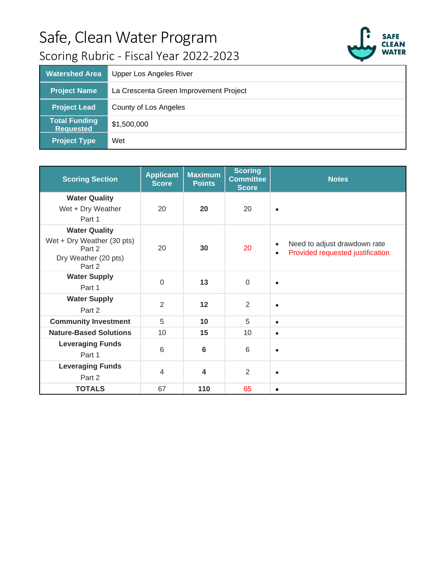



| <b>Watershed Area</b>                    | Upper Los Angeles River                |
|------------------------------------------|----------------------------------------|
| <b>Project Name</b>                      | La Crescenta Green Improvement Project |
| <b>Project Lead</b>                      | County of Los Angeles                  |
| <b>Total Funding</b><br><b>Requested</b> | \$1,500,000                            |
| <b>Project Type</b>                      | Wet                                    |

| <b>Scoring Section</b>                                                                         | <b>Applicant</b><br><b>Score</b> | <b>Maximum</b><br><b>Points</b> | <b>Scoring</b><br><b>Committee</b><br><b>Score</b> | <b>Notes</b>                                                                               |
|------------------------------------------------------------------------------------------------|----------------------------------|---------------------------------|----------------------------------------------------|--------------------------------------------------------------------------------------------|
| <b>Water Quality</b><br>Wet + Dry Weather<br>Part 1                                            | 20                               | 20                              | 20                                                 | $\bullet$                                                                                  |
| <b>Water Quality</b><br>Wet + Dry Weather (30 pts)<br>Part 2<br>Dry Weather (20 pts)<br>Part 2 | 20                               | 30                              | 20                                                 | Need to adjust drawdown rate<br>$\bullet$<br>Provided requested justification<br>$\bullet$ |
| <b>Water Supply</b><br>Part 1                                                                  | $\Omega$                         | 13                              | $\mathbf 0$                                        | $\bullet$                                                                                  |
| <b>Water Supply</b><br>Part 2                                                                  | 2                                | 12                              | $\overline{2}$                                     | $\bullet$                                                                                  |
| <b>Community Investment</b>                                                                    | 5                                | 10                              | 5                                                  | $\bullet$                                                                                  |
| <b>Nature-Based Solutions</b>                                                                  | 10                               | 15                              | 10                                                 | $\bullet$                                                                                  |
| <b>Leveraging Funds</b><br>Part 1                                                              | 6                                | 6                               | 6                                                  | $\bullet$                                                                                  |
| <b>Leveraging Funds</b><br>Part 2                                                              | $\overline{4}$                   | $\overline{\mathbf{4}}$         | $\overline{2}$                                     | $\bullet$                                                                                  |
| <b>TOTALS</b>                                                                                  | 67                               | 110                             | 65                                                 | $\bullet$                                                                                  |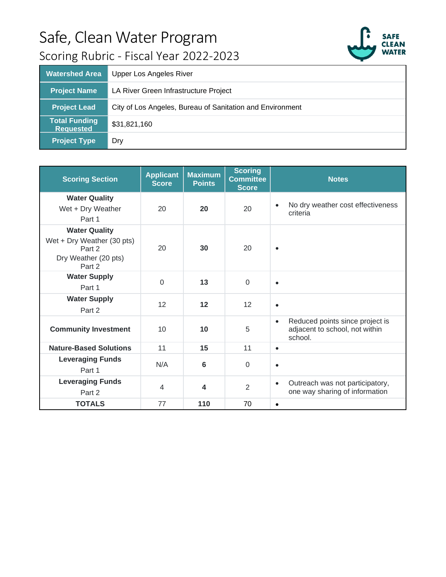

| <b>Watershed Area</b>                    | <b>Upper Los Angeles River</b>                            |
|------------------------------------------|-----------------------------------------------------------|
| <b>Project Name</b>                      | LA River Green Infrastructure Project                     |
| <b>Project Lead</b>                      | City of Los Angeles, Bureau of Sanitation and Environment |
| <b>Total Funding</b><br><b>Requested</b> | \$31,821,160                                              |
| <b>Project Type</b>                      | Dry                                                       |

| <b>Scoring Section</b>                                                                         | <b>Applicant</b><br><b>Score</b> | <b>Maximum</b><br><b>Points</b> | <b>Scoring</b><br><b>Committee</b><br><b>Score</b> | <b>Notes</b>                                                                              |
|------------------------------------------------------------------------------------------------|----------------------------------|---------------------------------|----------------------------------------------------|-------------------------------------------------------------------------------------------|
| <b>Water Quality</b><br>Wet + Dry Weather<br>Part 1                                            | 20                               | 20                              | 20                                                 | No dry weather cost effectiveness<br>$\bullet$<br>criteria                                |
| <b>Water Quality</b><br>Wet + Dry Weather (30 pts)<br>Part 2<br>Dry Weather (20 pts)<br>Part 2 | 20                               | 30                              | 20                                                 | $\bullet$                                                                                 |
| <b>Water Supply</b><br>Part 1                                                                  | $\Omega$                         | 13                              | $\Omega$                                           | $\bullet$                                                                                 |
| <b>Water Supply</b><br>Part 2                                                                  | 12                               | 12                              | 12                                                 | $\bullet$                                                                                 |
| <b>Community Investment</b>                                                                    | 10                               | 10                              | 5                                                  | Reduced points since project is<br>$\bullet$<br>adjacent to school, not within<br>school. |
| <b>Nature-Based Solutions</b>                                                                  | 11                               | 15                              | 11                                                 | $\bullet$                                                                                 |
| <b>Leveraging Funds</b><br>Part 1                                                              | N/A                              | 6                               | $\mathbf 0$                                        | $\bullet$                                                                                 |
| <b>Leveraging Funds</b><br>Part 2                                                              | $\overline{4}$                   | 4                               | $\overline{2}$                                     | Outreach was not participatory,<br>$\bullet$<br>one way sharing of information            |
| <b>TOTALS</b>                                                                                  | 77                               | 110                             | 70                                                 | $\bullet$                                                                                 |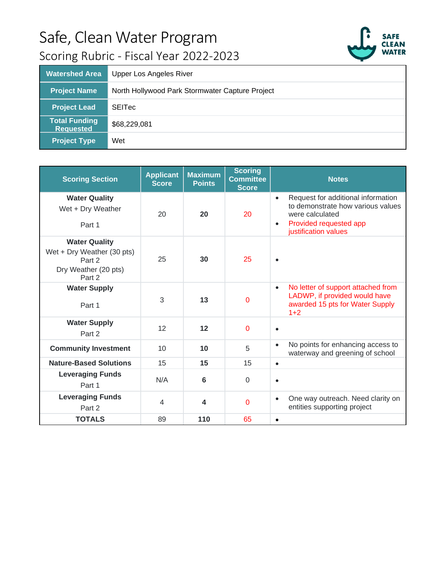



| <b>Watershed Area</b>                    | <b>Upper Los Angeles River</b>                  |
|------------------------------------------|-------------------------------------------------|
| <b>Project Name</b>                      | North Hollywood Park Stormwater Capture Project |
| <b>Project Lead</b>                      | <b>SEITec</b>                                   |
| <b>Total Funding</b><br><b>Requested</b> | \$68,229,081                                    |
| <b>Project Type</b>                      | Wet                                             |

| <b>Scoring Section</b>                                                                         | <b>Applicant</b><br><b>Score</b> | <b>Maximum</b><br><b>Points</b> | <b>Scoring</b><br><b>Committee</b><br><b>Score</b> | <b>Notes</b>                                                                                                                                                           |
|------------------------------------------------------------------------------------------------|----------------------------------|---------------------------------|----------------------------------------------------|------------------------------------------------------------------------------------------------------------------------------------------------------------------------|
| <b>Water Quality</b><br>Wet + Dry Weather<br>Part 1                                            | 20                               | 20                              | 20                                                 | Request for additional information<br>$\bullet$<br>to demonstrate how various values<br>were calculated<br>Provided requested app<br>$\bullet$<br>justification values |
| <b>Water Quality</b><br>Wet + Dry Weather (30 pts)<br>Part 2<br>Dry Weather (20 pts)<br>Part 2 | 25                               | 30                              | 25                                                 | $\bullet$                                                                                                                                                              |
| <b>Water Supply</b><br>Part 1                                                                  | 3                                | 13                              | $\mathbf 0$                                        | No letter of support attached from<br>$\bullet$<br>LADWP, if provided would have<br>awarded 15 pts for Water Supply<br>$1+2$                                           |
| <b>Water Supply</b><br>Part 2                                                                  | 12                               | 12                              | 0                                                  | $\bullet$                                                                                                                                                              |
| <b>Community Investment</b>                                                                    | 10                               | 10                              | 5                                                  | No points for enhancing access to<br>$\bullet$<br>waterway and greening of school                                                                                      |
| <b>Nature-Based Solutions</b>                                                                  | 15                               | 15                              | 15                                                 | $\bullet$                                                                                                                                                              |
| <b>Leveraging Funds</b><br>Part 1                                                              | N/A                              | 6                               | $\Omega$                                           | $\bullet$                                                                                                                                                              |
| <b>Leveraging Funds</b><br>Part 2                                                              | $\overline{4}$                   | $\overline{\mathbf{4}}$         | $\overline{0}$                                     | One way outreach. Need clarity on<br>$\bullet$<br>entities supporting project                                                                                          |
| <b>TOTALS</b>                                                                                  | 89                               | 110                             | 65                                                 | $\bullet$                                                                                                                                                              |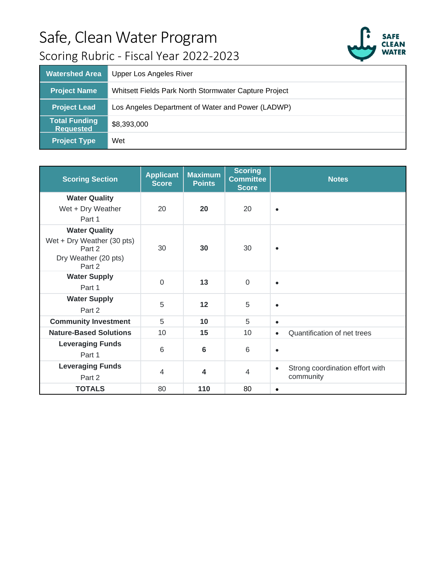

| <b>Watershed Area</b>                    | Upper Los Angeles River                               |
|------------------------------------------|-------------------------------------------------------|
| <b>Project Name</b>                      | Whitsett Fields Park North Stormwater Capture Project |
| <b>Project Lead</b>                      | Los Angeles Department of Water and Power (LADWP)     |
| <b>Total Funding</b><br><b>Requested</b> | \$8,393,000                                           |
| <b>Project Type</b>                      | Wet                                                   |

| <b>Scoring Section</b>                                                                         | <b>Applicant</b><br><b>Score</b> | <b>Maximum</b><br><b>Points</b> | <b>Scoring</b><br><b>Committee</b><br><b>Score</b> | <b>Notes</b>                                              |
|------------------------------------------------------------------------------------------------|----------------------------------|---------------------------------|----------------------------------------------------|-----------------------------------------------------------|
| <b>Water Quality</b><br>Wet + Dry Weather<br>Part 1                                            | 20                               | 20                              | 20                                                 | $\bullet$                                                 |
| <b>Water Quality</b><br>Wet + Dry Weather (30 pts)<br>Part 2<br>Dry Weather (20 pts)<br>Part 2 | 30                               | 30                              | 30                                                 | $\bullet$                                                 |
| <b>Water Supply</b><br>Part 1                                                                  | $\Omega$                         | 13                              | $\mathbf 0$                                        | $\bullet$                                                 |
| <b>Water Supply</b><br>Part 2                                                                  | 5                                | 12                              | 5                                                  | $\bullet$                                                 |
| <b>Community Investment</b>                                                                    | 5                                | 10                              | 5                                                  | $\bullet$                                                 |
| <b>Nature-Based Solutions</b>                                                                  | 10                               | 15                              | 10                                                 | Quantification of net trees<br>$\bullet$                  |
| <b>Leveraging Funds</b><br>Part 1                                                              | 6                                | $6\phantom{1}6$                 | 6                                                  | $\bullet$                                                 |
| <b>Leveraging Funds</b><br>Part 2                                                              | $\overline{4}$                   | $\overline{\mathbf{4}}$         | $\overline{4}$                                     | Strong coordination effort with<br>$\bullet$<br>community |
| <b>TOTALS</b>                                                                                  | 80                               | 110                             | 80                                                 | $\bullet$                                                 |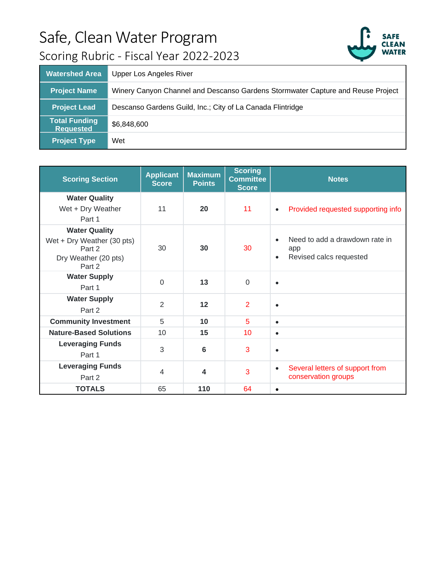

| <b>Watershed Area</b>                    | <b>Upper Los Angeles River</b>                                                  |
|------------------------------------------|---------------------------------------------------------------------------------|
| <b>Project Name</b>                      | Winery Canyon Channel and Descanso Gardens Stormwater Capture and Reuse Project |
| <b>Project Lead</b>                      | Descanso Gardens Guild, Inc.; City of La Canada Flintridge                      |
| <b>Total Funding</b><br><b>Requested</b> | \$6,848,600                                                                     |
| <b>Project Type</b>                      | Wet                                                                             |

| <b>Scoring Section</b>                                                                         | <b>Applicant</b><br><b>Score</b> | <b>Maximum</b><br><b>Points</b> | <b>Scoring</b><br><b>Committee</b><br><b>Score</b> | <b>Notes</b>                                                                               |
|------------------------------------------------------------------------------------------------|----------------------------------|---------------------------------|----------------------------------------------------|--------------------------------------------------------------------------------------------|
| <b>Water Quality</b><br>Wet + Dry Weather<br>Part 1                                            | 11                               | 20                              | 11                                                 | Provided requested supporting info<br>$\bullet$                                            |
| <b>Water Quality</b><br>Wet + Dry Weather (30 pts)<br>Part 2<br>Dry Weather (20 pts)<br>Part 2 | 30                               | 30                              | 30                                                 | Need to add a drawdown rate in<br>$\bullet$<br>app<br>Revised calcs requested<br>$\bullet$ |
| <b>Water Supply</b><br>Part 1                                                                  | $\Omega$                         | 13                              | $\Omega$                                           | $\bullet$                                                                                  |
| <b>Water Supply</b><br>Part 2                                                                  | $\overline{2}$                   | 12                              | $\overline{2}$                                     | $\bullet$                                                                                  |
| <b>Community Investment</b>                                                                    | 5                                | 10                              | 5                                                  | $\bullet$                                                                                  |
| <b>Nature-Based Solutions</b>                                                                  | 10                               | 15                              | 10                                                 | $\bullet$                                                                                  |
| <b>Leveraging Funds</b><br>Part 1                                                              | 3                                | 6                               | 3                                                  | $\bullet$                                                                                  |
| <b>Leveraging Funds</b><br>Part 2                                                              | $\overline{4}$                   | 4                               | 3                                                  | Several letters of support from<br>$\bullet$<br>conservation groups                        |
| <b>TOTALS</b>                                                                                  | 65                               | 110                             | 64                                                 | $\bullet$                                                                                  |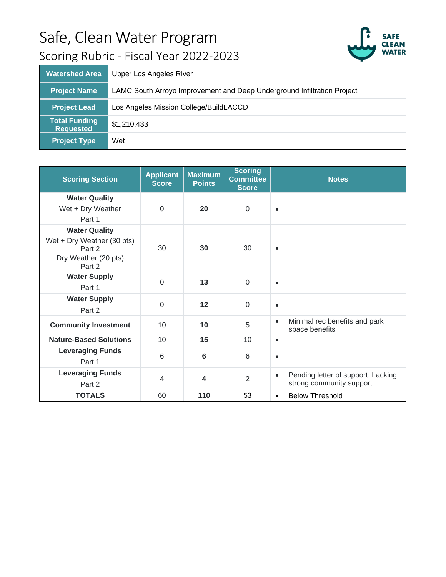

| <b>Watershed Area</b>                    | <b>Upper Los Angeles River</b>                                          |
|------------------------------------------|-------------------------------------------------------------------------|
| <b>Project Name</b>                      | LAMC South Arroyo Improvement and Deep Underground Infiltration Project |
| <b>Project Lead</b>                      | Los Angeles Mission College/BuildLACCD                                  |
| <b>Total Funding</b><br><b>Requested</b> | \$1,210,433                                                             |
| <b>Project Type</b>                      | Wet                                                                     |

| <b>Scoring Section</b>                                                                         | <b>Applicant</b><br><b>Score</b> | <b>Maximum</b><br><b>Points</b> | <b>Scoring</b><br><b>Committee</b><br><b>Score</b> | <b>Notes</b>                                                                |
|------------------------------------------------------------------------------------------------|----------------------------------|---------------------------------|----------------------------------------------------|-----------------------------------------------------------------------------|
| <b>Water Quality</b><br>Wet + Dry Weather<br>Part 1                                            | $\mathbf 0$                      | 20                              | $\mathbf 0$                                        | $\bullet$                                                                   |
| <b>Water Quality</b><br>Wet + Dry Weather (30 pts)<br>Part 2<br>Dry Weather (20 pts)<br>Part 2 | 30                               | 30                              | 30                                                 | $\bullet$                                                                   |
| <b>Water Supply</b><br>Part 1                                                                  | $\Omega$                         | 13                              | $\overline{0}$                                     | $\bullet$                                                                   |
| <b>Water Supply</b><br>Part 2                                                                  | $\overline{0}$                   | 12                              | $\Omega$                                           | $\bullet$                                                                   |
| <b>Community Investment</b>                                                                    | 10                               | 10                              | 5                                                  | Minimal rec benefits and park<br>$\bullet$<br>space benefits                |
| <b>Nature-Based Solutions</b>                                                                  | 10                               | 15                              | 10                                                 | $\bullet$                                                                   |
| <b>Leveraging Funds</b><br>Part 1                                                              | 6                                | 6                               | 6                                                  | $\bullet$                                                                   |
| <b>Leveraging Funds</b><br>Part 2                                                              | $\overline{4}$                   | 4                               | $\overline{2}$                                     | Pending letter of support. Lacking<br>$\bullet$<br>strong community support |
| <b>TOTALS</b>                                                                                  | 60                               | 110                             | 53                                                 | <b>Below Threshold</b><br>$\bullet$                                         |